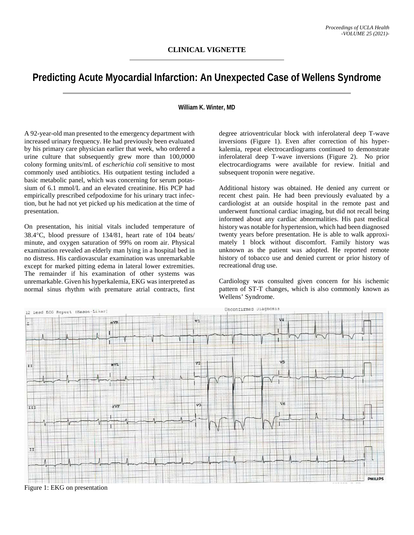## **Predicting Acute Myocardial Infarction: An Unexpected Case of Wellens Syndrome**

## **William K. Winter, MD**

A 92-year-old man presented to the emergency department with increased urinary frequency. He had previously been evaluated by his primary care physician earlier that week, who ordered a urine culture that subsequently grew more than 100,0000 colony forming units/mL of *escherichia coli* sensitive to most commonly used antibiotics. His outpatient testing included a basic metabolic panel, which was concerning for serum potassium of 6.1 mmol/L and an elevated creatinine. His PCP had empirically prescribed cefpodoxime for his urinary tract infection, but he had not yet picked up his medication at the time of presentation.

On presentation, his initial vitals included temperature of 38.4°C, blood pressure of 134/81, heart rate of 104 beats/ minute, and oxygen saturation of 99% on room air. Physical examination revealed an elderly man lying in a hospital bed in no distress. His cardiovascular examination was unremarkable except for marked pitting edema in lateral lower extremities. The remainder if his examination of other systems was unremarkable. Given his hyperkalemia, EKG was interpreted as normal sinus rhythm with premature atrial contracts, first

degree atrioventricular block with inferolateral deep T-wave inversions (Figure 1). Even after correction of his hyperkalemia, repeat electrocardiograms continued to demonstrate inferolateral deep T-wave inversions (Figure 2). No prior electrocardiograms were available for review. Initial and subsequent troponin were negative.

Additional history was obtained. He denied any current or recent chest pain. He had been previously evaluated by a cardiologist at an outside hospital in the remote past and underwent functional cardiac imaging, but did not recall being informed about any cardiac abnormalities. His past medical history was notable for hypertension, which had been diagnosed twenty years before presentation. He is able to walk approximately 1 block without discomfort. Family history was unknown as the patient was adopted. He reported remote history of tobacco use and denied current or prior history of recreational drug use.

Cardiology was consulted given concern for his ischemic pattern of ST-T changes, which is also commonly known as Wellens' Syndrome.



Figure 1: EKG on presentation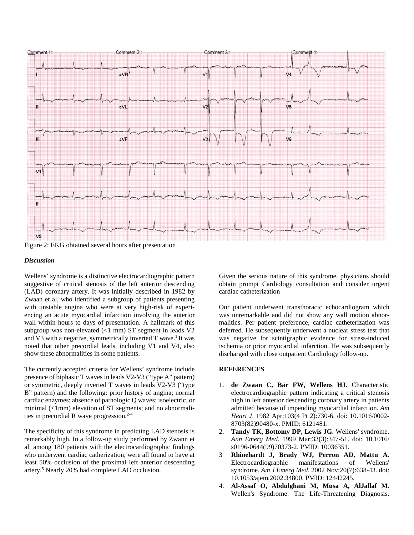

Figure 2: EKG obtained several hours after presentation

## *Discussion*

Wellens' syndrome is a distinctive electrocardiographic pattern suggestive of critical stenosis of the left anterior descending (LAD) coronary artery. It was initially described in 1982 by Zwaan et al, who identified a subgroup of patients presenting with unstable angina who were at very high-risk of experiencing an acute myocardial infarction involving the anterior wall within hours to days of presentation. A hallmark of this subgroup was non-elevated (<1 mm) ST segment in leads V2 and V3 with a negative, symmetrically inverted T wave.<sup>1</sup> It was noted that other precordial leads, including V1 and V4, also show these abnormalities in some patients.

The currently accepted criteria for Wellens' syndrome include presence of biphasic T waves in leads V2-V3 ("type A" pattern) or symmetric, deeply inverted T waves in leads V2-V3 ("type B" pattern) and the following: prior history of angina; normal cardiac enzymes; absence of pathologic Q waves; isoelectric, or minimal (<1mm) elevation of ST segments; and no abnormalities in precordial R wave progression. 2-4

The specificity of this syndrome in predicting LAD stenosis is remarkably high. In a follow-up study performed by Zwann et al, among 180 patients with the electrocardiographic findings who underwent cardiac catherization, were all found to have at least 50% occlusion of the proximal left anterior descending artery. <sup>5</sup> Nearly 20% had complete LAD occlusion.

Given the serious nature of this syndrome, physicians should obtain prompt Cardiology consultation and consider urgent cardiac catheterization

Our patient underwent transthoracic echocardiogram which was unremarkable and did not show any wall motion abnormalities. Per patient preference, cardiac catheterization was deferred. He subsequently underwent a nuclear stress test that was negative for scintigraphic evidence for stress-induced ischemia or prior myocardial infarction. He was subsequently discharged with close outpatient Cardiology follow-up.

## **REFERENCES**

- 1. **de Zwaan C, Bär FW, Wellens HJ**. Characteristic electrocardiographic pattern indicating a critical stenosis high in left anterior descending coronary artery in patients admitted because of impending myocardial infarction. *Am Heart J*. 1982 Apr;103(4 Pt 2):730-6. doi: 10.1016/0002- 8703(82)90480-x. PMID: 6121481.
- 2. **Tandy TK, Bottomy DP, Lewis JG**. Wellens' syndrome. *Ann Emerg Med*. 1999 Mar;33(3):347-51. doi: 10.1016/ s0196-0644(99)70373-2. PMID: 10036351.
- 3 **Rhinehardt J, Brady WJ, Perron AD, Mattu A**. Electrocardiographic manifestations of Wellens' syndrome. *Am J Emerg Med*. 2002 Nov;20(7):638-43. doi: 10.1053/ajem.2002.34800. PMID: 12442245.
- 4. **Al-Assaf O, Abdulghani M, Musa A, AlJallaf M**. Wellen's Syndrome: The Life-Threatening Diagnosis.